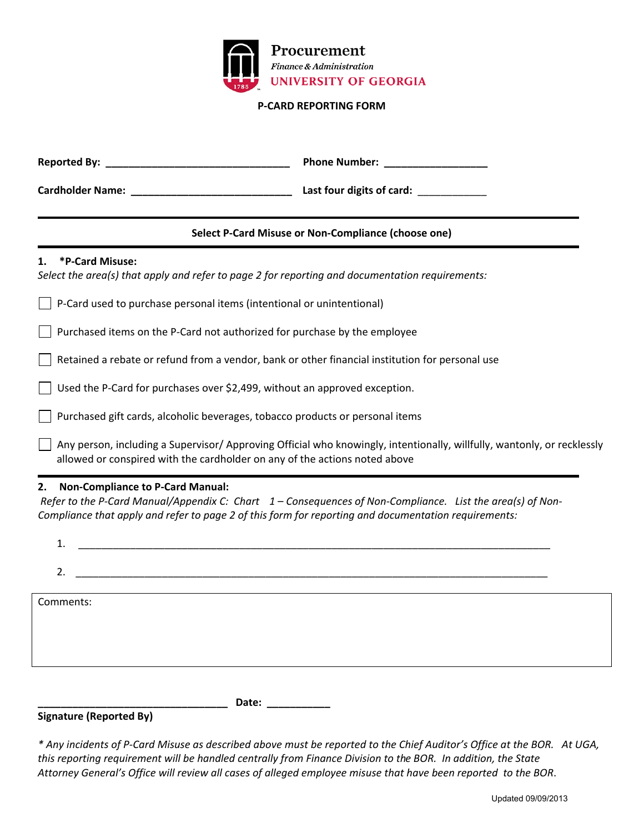

#### **P‐CARD REPORTING FORM**

| <b>Reported By:</b>     | <b>Phone Number:</b>      |
|-------------------------|---------------------------|
| <b>Cardholder Name:</b> | Last four digits of card: |

## **Select P‐Card Misuse or Non‐Compliance (choose one)**

### **1. \*P‐Card Misuse:**

*Select the area(s) that apply and refer to page 2 for reporting and documentation requirements:*

|  | $\Box$ P-Card used to purchase personal items (intentional or unintentional) |  |  |  |
|--|------------------------------------------------------------------------------|--|--|--|
|--|------------------------------------------------------------------------------|--|--|--|

Purchased items on the P‐Card not authorized for purchase by the employee

Retained a rebate or refund from a vendor, bank or other financial institution for personal use

Used the P‐Card for purchases over \$2,499, without an approved exception.

Purchased gift cards, alcoholic beverages, tobacco products or personal items

 Any person, including a Supervisor/ Approving Official who knowingly, intentionally, willfully, wantonly, or recklessly allowed or conspired with the cardholder on any of the actions noted above

## **2. Non‐Compliance to P‐Card Manual:**

Refer to the P-Card Manual/Appendix C: Chart 1 – Consequences of Non-Compliance. List the area(s) of Non-*Compliance that apply and refer to page 2 of this form for reporting and documentation requirements:*

| ∍         |  |  |  |
|-----------|--|--|--|
|           |  |  |  |
| Comments: |  |  |  |
|           |  |  |  |
|           |  |  |  |
|           |  |  |  |

#### **Signature (Reported By)**

**\_\_\_\_\_\_\_\_\_\_\_\_\_\_\_\_\_\_\_\_\_\_\_\_\_\_\_\_\_\_\_\_\_ Date: \_\_\_\_\_\_\_\_\_\_\_**

\* Any incidents of P-Card Misuse as described above must be reported to the Chief Auditor's Office at the BOR. At UGA, *this reporting requirement will be handled centrally from Finance Division to th e BOR. In addition, the State*  Attorney General's Office will review all cases of alleged employee misuse that have been reported to the BOR.